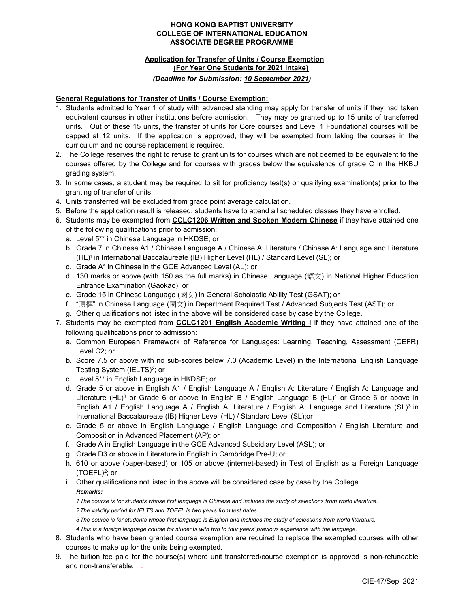#### HONG KONG BAPTIST UNIVERSITY COLLEGE OF INTERNATIONAL EDUCATION ASSOCIATE DEGREE PROGRAMME

# Application for Transfer of Units / Course Exemption (For Year One Students for 2021 intake) (Deadline for Submission: 10 September 2021)

## General Regulations for Transfer of Units / Course Exemption:

- 1. Students admitted to Year 1 of study with advanced standing may apply for transfer of units if they had taken equivalent courses in other institutions before admission. They may be granted up to 15 units of transferred units. Out of these 15 units, the transfer of units for Core courses and Level 1 Foundational courses will be capped at 12 units. If the application is approved, they will be exempted from taking the courses in the curriculum and no course replacement is required.
- 2. The College reserves the right to refuse to grant units for courses which are not deemed to be equivalent to the courses offered by the College and for courses with grades below the equivalence of grade C in the HKBU grading system.
- 3. In some cases, a student may be required to sit for proficiency test(s) or qualifying examination(s) prior to the granting of transfer of units.
- 4. Units transferred will be excluded from grade point average calculation.
- 5. Before the application result is released, students have to attend all scheduled classes they have enrolled.
- 6. Students may be exempted from CCLC1206 Written and Spoken Modern Chinese if they have attained one of the following qualifications prior to admission:
	- a. Level 5\*\* in Chinese Language in HKDSE; or
	- b. Grade 7 in Chinese A1 / Chinese Language A / Chinese A: Literature / Chinese A: Language and Literature (HL)<sup>1</sup> in International Baccalaureate (IB) Higher Level (HL) / Standard Level (SL); or
	- c. Grade A\* in Chinese in the GCE Advanced Level (AL); or
	- d. 130 marks or above (with 150 as the full marks) in Chinese Language (語文) in National Higher Education Entrance Examination (Gaokao); or
	- e. Grade 15 in Chinese Language (國文) in General Scholastic Ability Test (GSAT); or
	- f. "頂標" in Chinese Language (國文) in Department Required Test / Advanced Subjects Test (AST); or
	- g. Other q ualifications not listed in the above will be considered case by case by the College.
- 7. Students may be exempted from **CCLC1201 English Academic Writing I** if they have attained one of the following qualifications prior to admission:
	- a. Common European Framework of Reference for Languages: Learning, Teaching, Assessment (CEFR) Level C2; or
	- b. Score 7.5 or above with no sub-scores below 7.0 (Academic Level) in the International English Language Testing System (IELTS)<sup>2</sup>; or
	- c. Level 5\*\* in English Language in HKDSE; or
	- d. Grade 5 or above in English A1 / English Language A / English A: Literature / English A: Language and Literature (HL)<sup>3</sup> or Grade 6 or above in English B / English Language B (HL)<sup>4</sup> or Grade 6 or above in English A1 / English Language A / English A: Literature / English A: Language and Literature (SL)<sup>3</sup> in International Baccalaureate (IB) Higher Level (HL) / Standard Level (SL);or
	- e. Grade 5 or above in English Language / English Language and Composition / English Literature and Composition in Advanced Placement (AP); or
	- f. Grade A in English Language in the GCE Advanced Subsidiary Level (ASL); or
	- g. Grade D3 or above in Literature in English in Cambridge Pre-U; or
	- h. 610 or above (paper-based) or 105 or above (internet-based) in Test of English as a Foreign Language (TOEFL)<sup>2</sup> ; or
	- i. Other qualifications not listed in the above will be considered case by case by the College.

## Remarks:

1 The course is for students whose first language is Chinese and includes the study of selections from world literature. 2 The validity period for IELTS and TOEFL is two years from test dates.

3 The course is for students whose first language is English and includes the study of selections from world literature.

4 This is a foreign language course for students with two to four years' previous experience with the language.

- 8. Students who have been granted course exemption are required to replace the exempted courses with other courses to make up for the units being exempted.
- 9. The tuition fee paid for the course(s) where unit transferred/course exemption is approved is non-refundable and non-transferable. .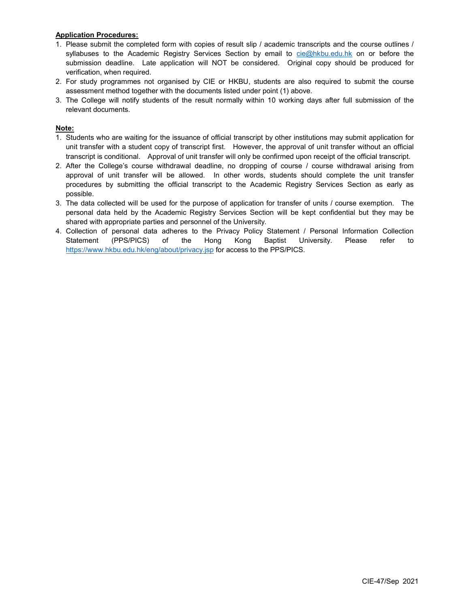## Application Procedures:

- 1. Please submit the completed form with copies of result slip / academic transcripts and the course outlines / syllabuses to the Academic Registry Services Section by email to cie@hkbu.edu.hk on or before the submission deadline. Late application will NOT be considered. Original copy should be produced for verification, when required.
- 2. For study programmes not organised by CIE or HKBU, students are also required to submit the course assessment method together with the documents listed under point (1) above.
- 3. The College will notify students of the result normally within 10 working days after full submission of the relevant documents.

## Note:

- 1. Students who are waiting for the issuance of official transcript by other institutions may submit application for unit transfer with a student copy of transcript first. However, the approval of unit transfer without an official transcript is conditional. Approval of unit transfer will only be confirmed upon receipt of the official transcript.
- 2. After the College's course withdrawal deadline, no dropping of course / course withdrawal arising from approval of unit transfer will be allowed. In other words, students should complete the unit transfer procedures by submitting the official transcript to the Academic Registry Services Section as early as possible.
- 3. The data collected will be used for the purpose of application for transfer of units / course exemption. The personal data held by the Academic Registry Services Section will be kept confidential but they may be shared with appropriate parties and personnel of the University.
- 4. Collection of personal data adheres to the Privacy Policy Statement / Personal Information Collection Statement (PPS/PICS) of the Hong Kong Baptist University. Please refer to https://www.hkbu.edu.hk/eng/about/privacy.jsp for access to the PPS/PICS.